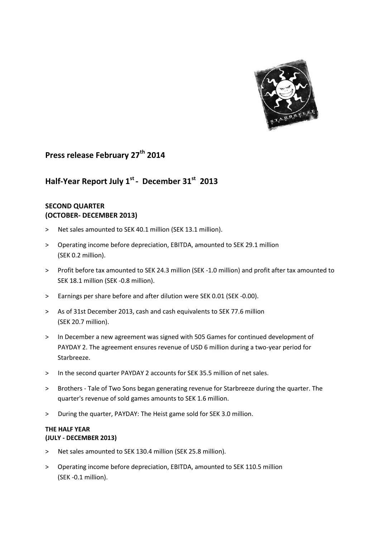

## **Press release February 27th 2014**

# **Half-Year Report July 1st - December 31st 2013**

### **SECOND QUARTER (OCTOBER- DECEMBER 2013)**

- > Net sales amounted to SEK 40.1 million (SEK 13.1 million).
- > Operating income before depreciation, EBITDA, amounted to SEK 29.1 million (SEK 0.2 million).
- > Profit before tax amounted to SEK 24.3 million (SEK -1.0 million) and profit after tax amounted to SEK 18.1 million (SEK -0.8 million).
- > Earnings per share before and after dilution were SEK 0.01 (SEK -0.00).
- > As of 31st December 2013, cash and cash equivalents to SEK 77.6 million (SEK 20.7 million).
- > In December a new agreement was signed with 505 Games for continued development of PAYDAY 2. The agreement ensures revenue of USD 6 million during a two-year period for Starbreeze.
- > In the second quarter PAYDAY 2 accounts for SEK 35.5 million of net sales.
- > Brothers Tale of Two Sons began generating revenue for Starbreeze during the quarter. The quarter's revenue of sold games amounts to SEK 1.6 million.
- > During the quarter, PAYDAY: The Heist game sold for SEK 3.0 million.

#### **THE HALF YEAR (JULY - DECEMBER 2013)**

- > Net sales amounted to SEK 130.4 million (SEK 25.8 million).
- > Operating income before depreciation, EBITDA, amounted to SEK 110.5 million (SEK -0.1 million).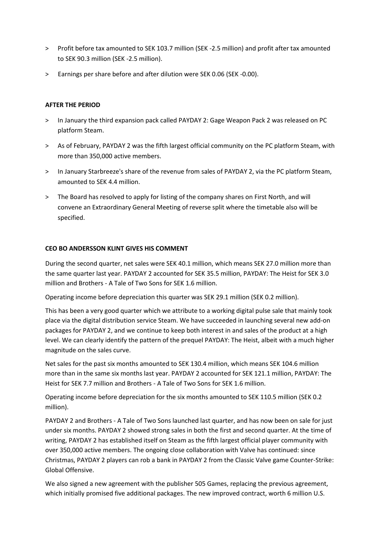- > Profit before tax amounted to SEK 103.7 million (SEK -2.5 million) and profit after tax amounted to SEK 90.3 million (SEK -2.5 million).
- > Earnings per share before and after dilution were SEK 0.06 (SEK -0.00).

#### **AFTER THE PERIOD**

- > In January the third expansion pack called PAYDAY 2: Gage Weapon Pack 2 was released on PC platform Steam.
- > As of February, PAYDAY 2 was the fifth largest official community on the PC platform Steam, with more than 350,000 active members.
- > In January Starbreeze's share of the revenue from sales of PAYDAY 2, via the PC platform Steam, amounted to SEK 4.4 million.
- > The Board has resolved to apply for listing of the company shares on First North, and will convene an Extraordinary General Meeting of reverse split where the timetable also will be specified.

### **CEO BO ANDERSSON KLINT GIVES HIS COMMENT**

During the second quarter, net sales were SEK 40.1 million, which means SEK 27.0 million more than the same quarter last year. PAYDAY 2 accounted for SEK 35.5 million, PAYDAY: The Heist for SEK 3.0 million and Brothers - A Tale of Two Sons for SEK 1.6 million.

Operating income before depreciation this quarter was SEK 29.1 million (SEK 0.2 million).

This has been a very good quarter which we attribute to a working digital pulse sale that mainly took place via the digital distribution service Steam. We have succeeded in launching several new add-on packages for PAYDAY 2, and we continue to keep both interest in and sales of the product at a high level. We can clearly identify the pattern of the prequel PAYDAY: The Heist, albeit with a much higher magnitude on the sales curve.

Net sales for the past six months amounted to SEK 130.4 million, which means SEK 104.6 million more than in the same six months last year. PAYDAY 2 accounted for SEK 121.1 million, PAYDAY: The Heist for SEK 7.7 million and Brothers - A Tale of Two Sons for SEK 1.6 million.

Operating income before depreciation for the six months amounted to SEK 110.5 million (SEK 0.2 million).

PAYDAY 2 and Brothers - A Tale of Two Sons launched last quarter, and has now been on sale for just under six months. PAYDAY 2 showed strong sales in both the first and second quarter. At the time of writing, PAYDAY 2 has established itself on Steam as the fifth largest official player community with over 350,000 active members. The ongoing close collaboration with Valve has continued: since Christmas, PAYDAY 2 players can rob a bank in PAYDAY 2 from the Classic Valve game Counter-Strike: Global Offensive.

We also signed a new agreement with the publisher 505 Games, replacing the previous agreement, which initially promised five additional packages. The new improved contract, worth 6 million U.S.